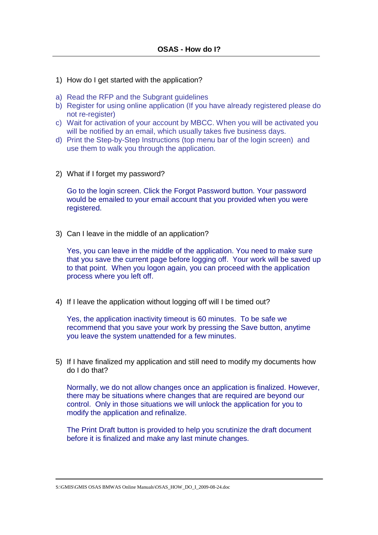- 1) How do I get started with the application?
- a) Read the RFP and the Subgrant guidelines
- b) Register for using online application (If you have already registered please do not re-register)
- c) Wait for activation of your account by MBCC. When you will be activated you will be notified by an email, which usually takes five business days.
- d) Print the Step-by-Step Instructions (top menu bar of the login screen) and use them to walk you through the application.
- 2) What if I forget my password?

Go to the login screen. Click the Forgot Password button. Your password would be emailed to your email account that you provided when you were registered.

3) Can I leave in the middle of an application?

Yes, you can leave in the middle of the application. You need to make sure that you save the current page before logging off. Your work will be saved up to that point. When you logon again, you can proceed with the application process where you left off.

4) If I leave the application without logging off will I be timed out?

Yes, the application inactivity timeout is 60 minutes. To be safe we recommend that you save your work by pressing the Save button, anytime you leave the system unattended for a few minutes.

5) If I have finalized my application and still need to modify my documents how do I do that?

Normally, we do not allow changes once an application is finalized. However, there may be situations where changes that are required are beyond our control. Only in those situations we will unlock the application for you to modify the application and refinalize.

The Print Draft button is provided to help you scrutinize the draft document before it is finalized and make any last minute changes.

S:\GMIS\GMIS OSAS BMWAS Online Manuals\OSAS\_HOW\_DO\_I\_2009-08-24.doc